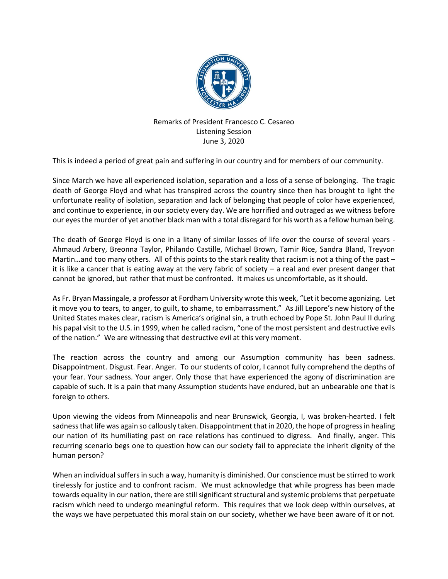

## Remarks of President Francesco C. Cesareo Listening Session June 3, 2020

This is indeed a period of great pain and suffering in our country and for members of our community.

Since March we have all experienced isolation, separation and a loss of a sense of belonging. The tragic death of George Floyd and what has transpired across the country since then has brought to light the unfortunate reality of isolation, separation and lack of belonging that people of color have experienced, and continue to experience, in our society every day. We are horrified and outraged as we witness before our eyes the murder of yet another black man with a total disregard for his worth as a fellow human being.

The death of George Floyd is one in a litany of similar losses of life over the course of several years - Ahmaud Arbery, Breonna Taylor, Philando Castille, Michael Brown, Tamir Rice, Sandra Bland, Treyvon Martin…and too many others. All of this points to the stark reality that racism is not a thing of the past – it is like a cancer that is eating away at the very fabric of society – a real and ever present danger that cannot be ignored, but rather that must be confronted. It makes us uncomfortable, as it should.

As Fr. Bryan Massingale, a professor at Fordham University wrote this week, "Let it become agonizing. Let it move you to tears, to anger, to guilt, to shame, to embarrassment." As Jill Lepore's new history of the United States makes clear, racism is America's original sin, a truth echoed by Pope St. John Paul II during his papal visit to the U.S. in 1999, when he called racism, "one of the most persistent and destructive evils of the nation." We are witnessing that destructive evil at this very moment.

The reaction across the country and among our Assumption community has been sadness. Disappointment. Disgust. Fear. Anger. To our students of color, I cannot fully comprehend the depths of your fear. Your sadness. Your anger. Only those that have experienced the agony of discrimination are capable of such. It is a pain that many Assumption students have endured, but an unbearable one that is foreign to others.

Upon viewing the videos from Minneapolis and near Brunswick, Georgia, I, was broken-hearted. I felt sadness that life was again so callously taken. Disappointment that in 2020, the hope of progress in healing our nation of its humiliating past on race relations has continued to digress. And finally, anger. This recurring scenario begs one to question how can our society fail to appreciate the inherit dignity of the human person?

When an individual suffers in such a way, humanity is diminished. Our conscience must be stirred to work tirelessly for justice and to confront racism. We must acknowledge that while progress has been made towards equality in our nation, there are still significant structural and systemic problems that perpetuate racism which need to undergo meaningful reform. This requires that we look deep within ourselves, at the ways we have perpetuated this moral stain on our society, whether we have been aware of it or not.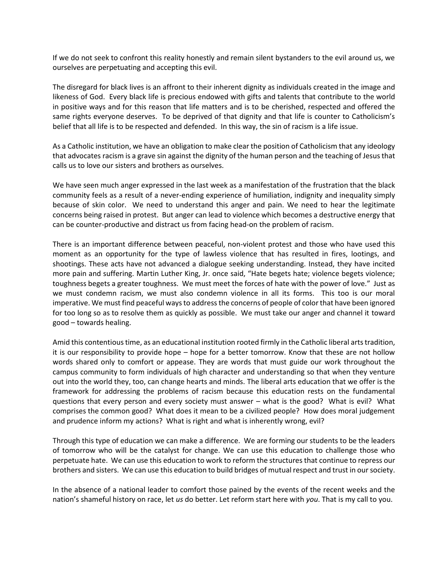If we do not seek to confront this reality honestly and remain silent bystanders to the evil around us, we ourselves are perpetuating and accepting this evil.

The disregard for black lives is an affront to their inherent dignity as individuals created in the image and likeness of God. Every black life is precious endowed with gifts and talents that contribute to the world in positive ways and for this reason that life matters and is to be cherished, respected and offered the same rights everyone deserves. To be deprived of that dignity and that life is counter to Catholicism's belief that all life is to be respected and defended. In this way, the sin of racism is a life issue.

As a Catholic institution, we have an obligation to make clear the position of Catholicism that any ideology that advocates racism is a grave sin against the dignity of the human person and the teaching of Jesus that calls us to love our sisters and brothers as ourselves.

We have seen much anger expressed in the last week as a manifestation of the frustration that the black community feels as a result of a never-ending experience of humiliation, indignity and inequality simply because of skin color. We need to understand this anger and pain. We need to hear the legitimate concerns being raised in protest. But anger can lead to violence which becomes a destructive energy that can be counter-productive and distract us from facing head-on the problem of racism.

There is an important difference between peaceful, non-violent protest and those who have used this moment as an opportunity for the type of lawless violence that has resulted in fires, lootings, and shootings. These acts have not advanced a dialogue seeking understanding. Instead, they have incited more pain and suffering. Martin Luther King, Jr. once said, "Hate begets hate; violence begets violence; toughness begets a greater toughness. We must meet the forces of hate with the power of love." Just as we must condemn racism, we must also condemn violence in all its forms. This too is our moral imperative. We must find peaceful ways to address the concerns of people of color that have been ignored for too long so as to resolve them as quickly as possible. We must take our anger and channel it toward good – towards healing.

Amid this contentious time, as an educational institution rooted firmly in the Catholic liberal arts tradition, it is our responsibility to provide hope – hope for a better tomorrow. Know that these are not hollow words shared only to comfort or appease. They are words that must guide our work throughout the campus community to form individuals of high character and understanding so that when they venture out into the world they, too, can change hearts and minds. The liberal arts education that we offer is the framework for addressing the problems of racism because this education rests on the fundamental questions that every person and every society must answer – what is the good? What is evil? What comprises the common good? What does it mean to be a civilized people? How does moral judgement and prudence inform my actions? What is right and what is inherently wrong, evil?

Through this type of education we can make a difference. We are forming our students to be the leaders of tomorrow who will be the catalyst for change. We can use this education to challenge those who perpetuate hate. We can use this education to work to reform the structures that continue to repress our brothers and sisters. We can use this education to build bridges of mutual respect and trust in our society.

In the absence of a national leader to comfort those pained by the events of the recent weeks and the nation's shameful history on race, let *us* do better. Let reform start here with *you*. That is my call to you.